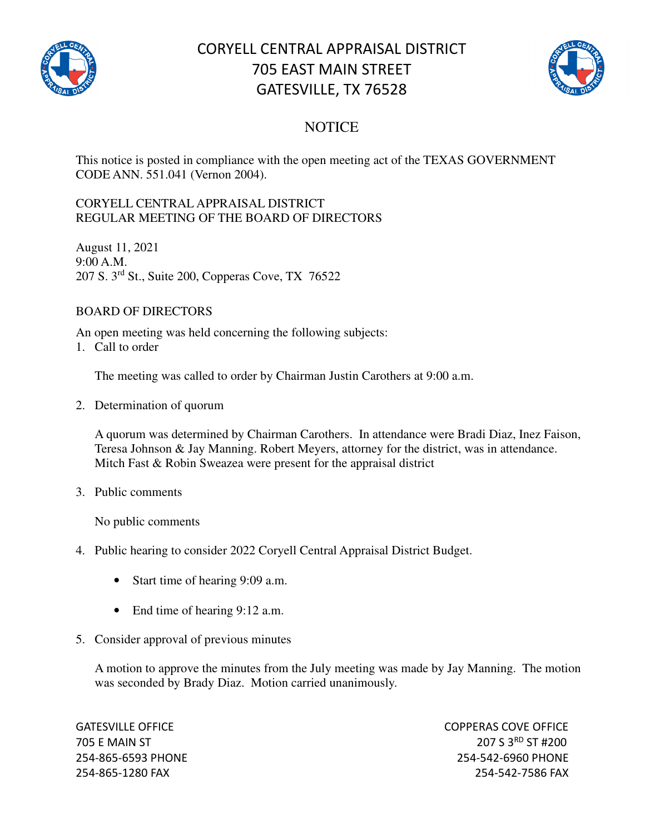

## CORYELL CENTRAL APPRAISAL DISTRICT 705 EAST MAIN STREET GATESVILLE, TX 76528



## **NOTICE**

This notice is posted in compliance with the open meeting act of the TEXAS GOVERNMENT CODE ANN. 551.041 (Vernon 2004).

## CORYELL CENTRAL APPRAISAL DISTRICT REGULAR MEETING OF THE BOARD OF DIRECTORS

August 11, 2021 9:00 A.M. 207 S. 3rd St., Suite 200, Copperas Cove, TX 76522

## BOARD OF DIRECTORS

An open meeting was held concerning the following subjects:

1. Call to order

The meeting was called to order by Chairman Justin Carothers at 9:00 a.m.

2. Determination of quorum

A quorum was determined by Chairman Carothers. In attendance were Bradi Diaz, Inez Faison, Teresa Johnson & Jay Manning. Robert Meyers, attorney for the district, was in attendance. Mitch Fast & Robin Sweazea were present for the appraisal district

3. Public comments

No public comments

- 4. Public hearing to consider 2022 Coryell Central Appraisal District Budget.
	- Start time of hearing 9:09 a.m.
	- End time of hearing 9:12 a.m.
- 5. Consider approval of previous minutes

A motion to approve the minutes from the July meeting was made by Jay Manning. The motion was seconded by Brady Diaz. Motion carried unanimously.

GATESVILLE OFFICE **COPPERAS COVE OF EXAMPLE 2** 705 E MAIN ST 207 S 3RD ST #200 254-865-6593 PHONE 254-542-6960 PHONE 254-865-1280 FAX 254-542-7586 FAX